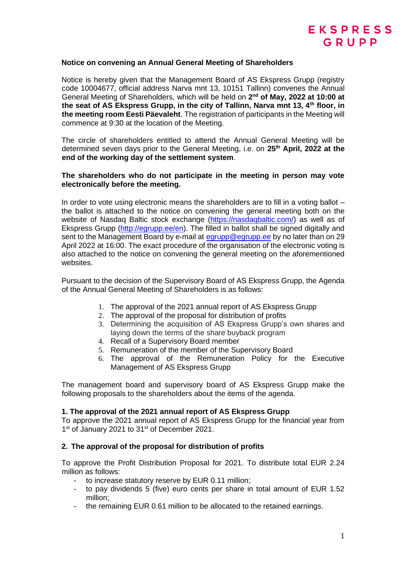

### **Notice on convening an Annual General Meeting of Shareholders**

Notice is hereby given that the Management Board of AS Ekspress Grupp (registry code 10004677, official address Narva mnt 13, 10151 Tallinn) convenes the Annual General Meeting of Shareholders, which will be held on 2<sup>nd</sup> of May, 2022 at 10:00 at **the seat of AS Ekspress Grupp, in the city of Tallinn, Narva mnt 13, 4th floor, in the meeting room Eesti Päevaleht**. The registration of participants in the Meeting will commence at 9:30 at the location of the Meeting.

The circle of shareholders entitled to attend the Annual General Meeting will be determined seven days prior to the General Meeting, i.e. on **25th April, 2022 at the end of the working day of the settlement system**.

### **The shareholders who do not participate in the meeting in person may vote electronically before the meeting.**

In order to vote using electronic means the shareholders are to fill in a voting ballot – the ballot is attached to the notice on convening the general meeting both on the website of Nasdaq Baltic stock exchange [\(https://nasdaqbaltic.com/\)](https://www.globenewswire.com/Tracker?data=LkCE02RXdFwE9joK6UO3K9ie4IocDSdwC7h_l0qVN05TDLqRFzOX-n6V7G14FVs5mCXcekLzvlj_SfEi1R6SEB4uVu7NHaN5n8zEH8BupNE=) as well as of Ekspress Grupp [\(http://egrupp.ee/en\)](http://egrupp.ee/en). The filled in ballot shall be signed digitally and sent to the Management Board by e-mail at [egrupp@egrupp.ee](mailto:egrupp@egrupp.ee) by no later than on 29 April 2022 at 16:00. The exact procedure of the organisation of the electronic voting is also attached to the notice on convening the general meeting on the aforementioned websites.

Pursuant to the decision of the Supervisory Board of AS Ekspress Grupp, the Agenda of the Annual General Meeting of Shareholders is as follows:

- 1. The approval of the 2021 annual report of AS Ekspress Grupp
- 2. The approval of the proposal for distribution of profits
- 3. Determining the acquisition of AS Ekspress Grupp's own shares and laying down the terms of the share buyback program
- 4. Recall of a Supervisory Board member
- 5. Remuneration of the member of the Supervisory Board
- 6. The approval of the Remuneration Policy for the Executive Management of AS Ekspress Grupp

The management board and supervisory board of AS Ekspress Grupp make the following proposals to the shareholders about the items of the agenda.

#### **1. The approval of the 2021 annual report of AS Ekspress Grupp**

To approve the 2021 annual report of AS Ekspress Grupp for the financial year from 1<sup>st</sup> of January 2021 to 31<sup>st</sup> of December 2021.

## **2. The approval of the proposal for distribution of profits**

To approve the Profit Distribution Proposal for 2021. To distribute total EUR 2.24 million as follows:

- to increase statutory reserve by EUR 0.11 million;
- to pay dividends 5 (five) euro cents per share in total amount of EUR 1.52 million;
- the remaining EUR 0.61 million to be allocated to the retained earnings.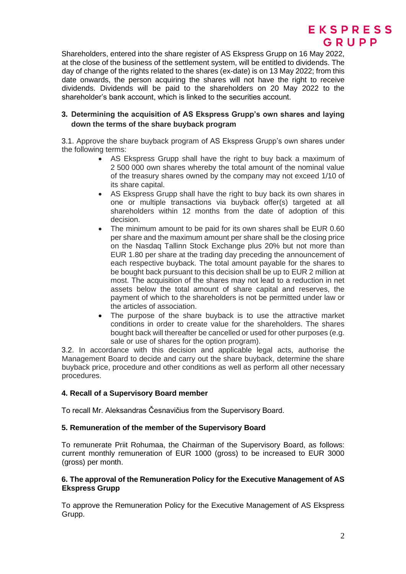

Shareholders, entered into the share register of AS Ekspress Grupp on 16 May 2022, at the close of the business of the settlement system, will be entitled to dividends. The day of change of the rights related to the shares (ex-date) is on 13 May 2022; from this date onwards, the person acquiring the shares will not have the right to receive dividends. Dividends will be paid to the shareholders on 20 May 2022 to the shareholder's bank account, which is linked to the securities account.

# **3. Determining the acquisition of AS Ekspress Grupp's own shares and laying down the terms of the share buyback program**

3.1. Approve the share buyback program of AS Ekspress Grupp's own shares under the following terms:

- AS Ekspress Grupp shall have the right to buy back a maximum of 2 500 000 own shares whereby the total amount of the nominal value of the treasury shares owned by the company may not exceed 1/10 of its share capital.
- AS Ekspress Grupp shall have the right to buy back its own shares in one or multiple transactions via buyback offer(s) targeted at all shareholders within 12 months from the date of adoption of this decision.
- The minimum amount to be paid for its own shares shall be EUR 0.60 per share and the maximum amount per share shall be the closing price on the Nasdaq Tallinn Stock Exchange plus 20% but not more than EUR 1.80 per share at the trading day preceding the announcement of each respective buyback. The total amount payable for the shares to be bought back pursuant to this decision shall be up to EUR 2 million at most. The acquisition of the shares may not lead to a reduction in net assets below the total amount of share capital and reserves, the payment of which to the shareholders is not be permitted under law or the articles of association.
- The purpose of the share buyback is to use the attractive market conditions in order to create value for the shareholders. The shares bought back will thereafter be cancelled or used for other purposes (e.g. sale or use of shares for the option program).

3.2. In accordance with this decision and applicable legal acts, authorise the Management Board to decide and carry out the share buyback, determine the share buyback price, procedure and other conditions as well as perform all other necessary procedures.

# **4. Recall of a Supervisory Board member**

To recall Mr. Aleksandras Česnavičius from the Supervisory Board.

# **5. Remuneration of the member of the Supervisory Board**

To remunerate Priit Rohumaa, the Chairman of the Supervisory Board, as follows: current monthly remuneration of EUR 1000 (gross) to be increased to EUR 3000 (gross) per month.

# **6. The approval of the Remuneration Policy for the Executive Management of AS Ekspress Grupp**

To approve the Remuneration Policy for the Executive Management of AS Ekspress Grupp.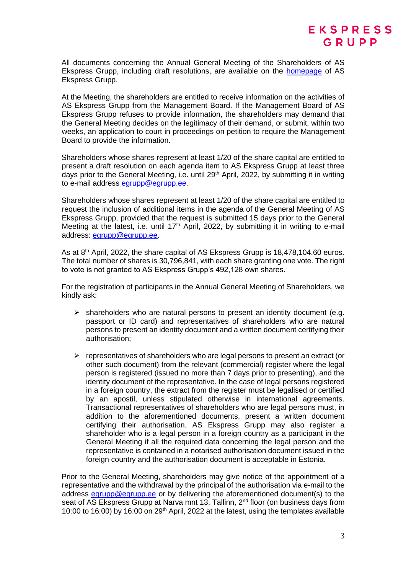All documents concerning the Annual General Meeting of the Shareholders of AS Ekspress Grupp, including draft resolutions, are available on the [homepage](https://www.egrupp.ee/en/about-group/management/general-meeting-of-shareholders/) of AS Ekspress Grupp.

At the Meeting, the shareholders are entitled to receive information on the activities of AS Ekspress Grupp from the Management Board. If the Management Board of AS Ekspress Grupp refuses to provide information, the shareholders may demand that the General Meeting decides on the legitimacy of their demand, or submit, within two weeks, an application to court in proceedings on petition to require the Management Board to provide the information.

Shareholders whose shares represent at least 1/20 of the share capital are entitled to present a draft resolution on each agenda item to AS Ekspress Grupp at least three days prior to the General Meeting, i.e. until 29<sup>th</sup> April, 2022, by submitting it in writing to e-mail address [egrupp@egrupp.ee.](mailto:egrupp@egrupp.ee)

Shareholders whose shares represent at least 1/20 of the share capital are entitled to request the inclusion of additional items in the agenda of the General Meeting of AS Ekspress Grupp, provided that the request is submitted 15 days prior to the General Meeting at the latest, i.e. until 17<sup>th</sup> April, 2022, by submitting it in writing to e-mail address: [egrupp@egrupp.ee.](mailto:egrupp@egrupp.ee)

As at 8<sup>th</sup> April, 2022, the share capital of AS Ekspress Grupp is 18,478,104.60 euros. The total number of shares is 30,796,841, with each share granting one vote. The right to vote is not granted to AS Ekspress Grupp's 492,128 own shares.

For the registration of participants in the Annual General Meeting of Shareholders, we kindly ask:

- $\triangleright$  shareholders who are natural persons to present an identity document (e.g. passport or ID card) and representatives of shareholders who are natural persons to present an identity document and a written document certifying their authorisation;
- $\triangleright$  representatives of shareholders who are legal persons to present an extract (or other such document) from the relevant (commercial) register where the legal person is registered (issued no more than 7 days prior to presenting), and the identity document of the representative. In the case of legal persons registered in a foreign country, the extract from the register must be legalised or certified by an apostil, unless stipulated otherwise in international agreements. Transactional representatives of shareholders who are legal persons must, in addition to the aforementioned documents, present a written document certifying their authorisation. AS Ekspress Grupp mav also register a shareholder who is a legal person in a foreign country as a participant in the General Meeting if all the required data concerning the legal person and the representative is contained in a notarised authorisation document issued in the foreign country and the authorisation document is acceptable in Estonia.

Prior to the General Meeting, shareholders may give notice of the appointment of a representative and the withdrawal by the principal of the authorisation via e-mail to the address [egrupp@egrupp.ee](mailto:egrupp@egrupp.ee) or by delivering the aforementioned document(s) to the seat of AS Ekspress Grupp at Narva mnt 13, Tallinn, 2<sup>nd</sup> floor (on business days from 10:00 to 16:00) by 16:00 on 29<sup>th</sup> April, 2022 at the latest, using the templates available